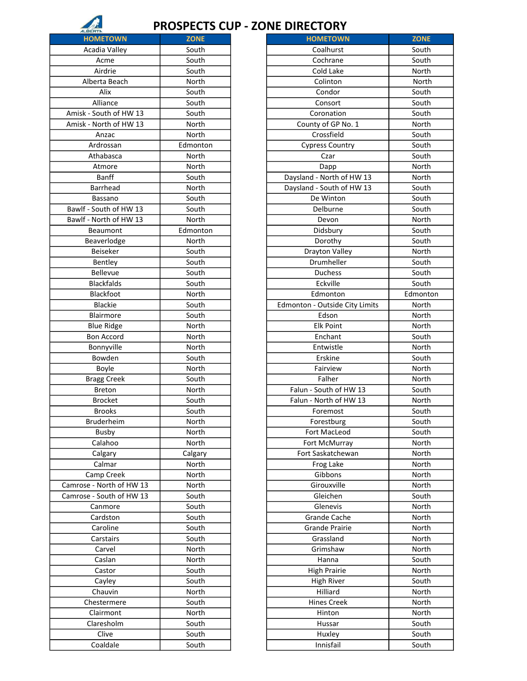

## PROSPECTS CUP - ZONE DIRECTORY

| <b>HOMETOWN</b>          | <b>ZONE</b> | <b>HOMETOWN</b>                | <b>ZONE</b> |
|--------------------------|-------------|--------------------------------|-------------|
| Acadia Valley            | South       | Coalhurst                      | South       |
| Acme                     | South       | Cochrane                       | South       |
| Airdrie                  | South       | Cold Lake                      | North       |
| Alberta Beach            | North       | Colinton                       | North       |
| Alix                     | South       | Condor                         | South       |
| Alliance                 | South       | Consort                        | South       |
| Amisk - South of HW 13   | South       | Coronation                     | South       |
| Amisk - North of HW 13   | North       | County of GP No. 1             | North       |
| Anzac                    | North       | Crossfield                     | South       |
| Ardrossan                | Edmonton    | <b>Cypress Country</b>         | South       |
| Athabasca                | North       | Czar                           | South       |
| Atmore                   | North       | Dapp                           | North       |
| <b>Banff</b>             | South       | Daysland - North of HW 13      | North       |
| Barrhead                 | North       | Daysland - South of HW 13      | South       |
| Bassano                  | South       | De Winton                      | South       |
| Bawlf - South of HW 13   | South       | Delburne                       | South       |
| Bawlf - North of HW 13   | North       | Devon                          | North       |
| Beaumont                 | Edmonton    | Didsbury                       | South       |
| Beaverlodge              | North       | Dorothy                        | South       |
| Beiseker                 | South       | Drayton Valley                 | North       |
| Bentley                  | South       | Drumheller                     | South       |
| <b>Bellevue</b>          | South       | Duchess                        | South       |
| <b>Blackfalds</b>        | South       | Eckville                       | South       |
| Blackfoot                | North       | Edmonton                       | Edmonto     |
| Blackie                  | South       | Edmonton - Outside City Limits | North       |
| Blairmore                | South       | Edson                          | North       |
|                          |             |                                |             |
| <b>Blue Ridge</b>        | North       | <b>Elk Point</b>               | North       |
| Bon Accord               | North       | Enchant                        | South       |
| Bonnyville               | North       | Entwistle                      | North       |
| Bowden                   | South       | Erskine                        | South       |
| Boyle                    | North       | Fairview                       | North       |
| <b>Bragg Creek</b>       | South       | Falher                         | North       |
| <b>Breton</b>            | North       | Falun - South of HW 13         | South       |
| <b>Brocket</b>           | South       | Falun - North of HW 13         | North       |
| <b>Brooks</b>            | South       | Foremost                       | South       |
| <b>Bruderheim</b>        | North       | Forestburg                     | South       |
| <b>Busby</b>             | North       | Fort MacLeod                   | South       |
| Calahoo                  | North       | Fort McMurray                  | North       |
| Calgary                  | Calgary     | Fort Saskatchewan              | North       |
| Calmar                   | North       | Frog Lake                      | North       |
| Camp Creek               | North       | Gibbons                        | North       |
| Camrose - North of HW 13 | North       | Girouxville                    | North       |
| Camrose - South of HW 13 | South       | Gleichen                       | South       |
| Canmore                  | South       | Glenevis                       | North       |
| Cardston                 | South       | Grande Cache                   | North       |
| Caroline                 | South       | <b>Grande Prairie</b>          | North       |
| Carstairs                | South       | Grassland                      | North       |
| Carvel                   | North       | Grimshaw                       | North       |
| Caslan                   | North       | Hanna                          | South       |
| Castor                   | South       | <b>High Prairie</b>            | North       |
| Cayley                   | South       | <b>High River</b>              | South       |
| Chauvin                  | North       | Hilliard                       | North       |
| Chestermere              | South       | <b>Hines Creek</b>             | North       |
| Clairmont                | North       | Hinton                         | North       |
| Claresholm               | South       | Hussar                         | South       |
| Clive                    | South       | Huxley                         | South       |
| Coaldale                 | South       | Innisfail                      | South       |
|                          |             |                                |             |

| <b>HOMETOWN</b>         | ZUNE     | <b>HOMETOWN</b>                | ZUNE     |
|-------------------------|----------|--------------------------------|----------|
| Acadia Valley           | South    | Coalhurst                      | South    |
| Acme                    | South    | Cochrane                       | South    |
| Airdrie                 | South    | Cold Lake                      | North    |
| Alberta Beach           | North    | Colinton                       | North    |
| Alix                    | South    | Condor                         | South    |
| Alliance                | South    | Consort                        | South    |
| Amisk - South of HW 13  | South    | Coronation                     | South    |
| Amisk - North of HW 13  | North    | County of GP No. 1             | North    |
| Anzac                   | North    | Crossfield                     | South    |
| Ardrossan               | Edmonton | <b>Cypress Country</b>         | South    |
| Athabasca               | North    | Czar                           | South    |
| Atmore                  | North    | Dapp                           | North    |
| <b>Banff</b>            | South    | Daysland - North of HW 13      | North    |
| Barrhead                | North    | Daysland - South of HW 13      | South    |
| Bassano                 | South    | De Winton                      | South    |
| Bawlf - South of HW 13  | South    | Delburne                       | South    |
| Bawlf - North of HW 13  | North    | Devon                          | North    |
| Beaumont                | Edmonton | Didsbury                       | South    |
| Beaverlodge             | North    | Dorothy                        | South    |
| Beiseker                | South    | <b>Drayton Valley</b>          | North    |
| Bentley                 | South    | Drumheller                     | South    |
| Bellevue                | South    | Duchess                        | South    |
| <b>Blackfalds</b>       | South    | Eckville                       | South    |
| Blackfoot               | North    | Edmonton                       | Edmonton |
| Blackie                 | South    | Edmonton - Outside City Limits | North    |
| Blairmore               | South    | Edson                          | North    |
| <b>Blue Ridge</b>       | North    | <b>Elk Point</b>               | North    |
| <b>Bon Accord</b>       | North    | Enchant                        | South    |
| Bonnyville              | North    | Entwistle                      | North    |
| Bowden                  | South    | Erskine                        | South    |
| Boyle                   | North    | Fairview                       | North    |
| <b>Bragg Creek</b>      | South    | Falher                         | North    |
| <b>Breton</b>           | North    | Falun - South of HW 13         | South    |
| <b>Brocket</b>          | South    | Falun - North of HW 13         | North    |
| <b>Brooks</b>           | South    | Foremost                       | South    |
| Bruderheim              | North    | Forestburg                     | South    |
| Busby                   | North    | Fort MacLeod                   | South    |
| Calahoo                 | North    | Fort McMurray                  | North    |
| Calgary                 | Calgary  | Fort Saskatchewan              | North    |
| Calmar                  | North    | Frog Lake                      | North    |
| Camp Creek              | North    | Gibbons                        | North    |
| amrose - North of HW 13 | North    | Girouxville                    | North    |
| amrose - South of HW 13 | South    | Gleichen                       | South    |
| Canmore                 | South    | Glenevis                       | North    |
| Cardston                | South    | <b>Grande Cache</b>            | North    |
| Caroline                | South    | <b>Grande Prairie</b>          | North    |
| Carstairs               | South    | Grassland                      | North    |
| Carvel                  | North    | Grimshaw                       | North    |
| Caslan                  | North    | Hanna                          | South    |
| Castor                  | South    | <b>High Prairie</b>            | North    |
| Cayley                  | South    | <b>High River</b>              | South    |
| Chauvin                 | North    | Hilliard                       | North    |
| Chestermere             | South    | <b>Hines Creek</b>             | North    |
| Clairmont               | North    | Hinton                         | North    |
| Claresholm              | South    | Hussar                         | South    |
| Clive                   | South    | Huxley                         | South    |
| Coaldale                | South    | Innisfail                      | South    |